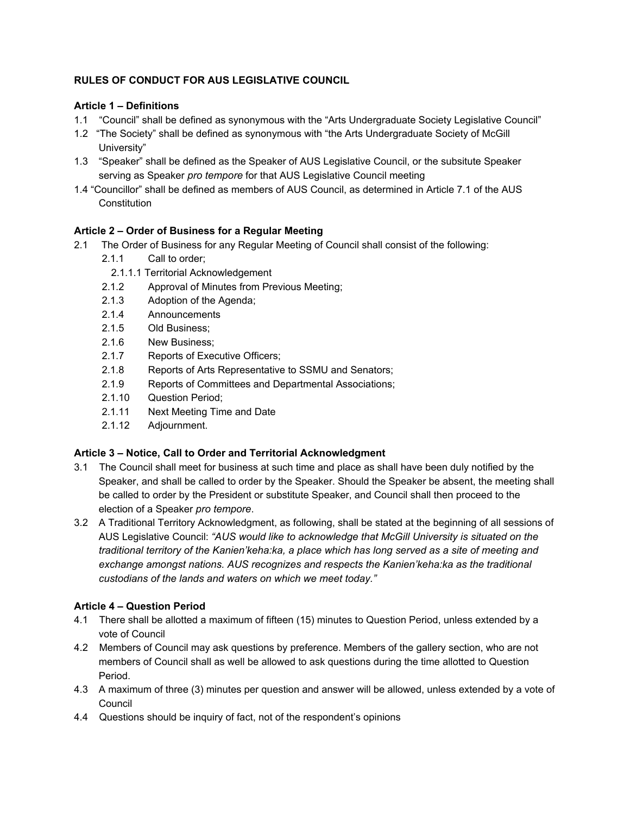## **RULES OF CONDUCT FOR AUS LEGISLATIVE COUNCIL**

### **Article 1 – Definitions**

- 1.1 "Council" shall be defined as synonymous with the "Arts Undergraduate Society Legislative Council"
- 1.2 "The Society" shall be defined as synonymous with "the Arts Undergraduate Society of McGill University"
- 1.3 "Speaker" shall be defined as the Speaker of AUS Legislative Council, or the subsitute Speaker serving as Speaker *pro tempore* for that AUS Legislative Council meeting
- 1.4 "Councillor" shall be defined as members of AUS Council, as determined in Article 7.1 of the AUS **Constitution**

## **Article 2 – Order of Business for a Regular Meeting**

- 2.1 The Order of Business for any Regular Meeting of Council shall consist of the following:
	- 2.1.1 Call to order;
		- 2.1.1.1 Territorial Acknowledgement
	- 2.1.2 Approval of Minutes from Previous Meeting;
	- 2.1.3 Adoption of the Agenda;
	- 2.1.4 Announcements
	- 2.1.5 Old Business;
	- 2.1.6 New Business;
	- 2.1.7 Reports of Executive Officers;
	- 2.1.8 Reports of Arts Representative to SSMU and Senators;
	- 2.1.9 Reports of Committees and Departmental Associations;
	- 2.1.10 Question Period;
	- 2.1.11 Next Meeting Time and Date
	- 2.1.12 Adjournment.

# **Article 3 – Notice, Call to Order and Territorial Acknowledgment**

- 3.1 The Council shall meet for business at such time and place as shall have been duly notified by the Speaker, and shall be called to order by the Speaker. Should the Speaker be absent, the meeting shall be called to order by the President or substitute Speaker, and Council shall then proceed to the election of a Speaker *pro tempore*.
- 3.2 A Traditional Territory Acknowledgment, as following, shall be stated at the beginning of all sessions of AUS Legislative Council: *"AUS would like to acknowledge that McGill University is situated on the traditional territory of the Kanien'keha:ka, a place which has long served as a site of meeting and exchange amongst nations. AUS recognizes and respects the Kanien'keha:ka as the traditional custodians of the lands and waters on which we meet today."*

# **Article 4 – Question Period**

- 4.1 There shall be allotted a maximum of fifteen (15) minutes to Question Period, unless extended by a vote of Council
- 4.2 Members of Council may ask questions by preference. Members of the gallery section, who are not members of Council shall as well be allowed to ask questions during the time allotted to Question Period.
- 4.3 A maximum of three (3) minutes per question and answer will be allowed, unless extended by a vote of Council
- 4.4 Questions should be inquiry of fact, not of the respondent's opinions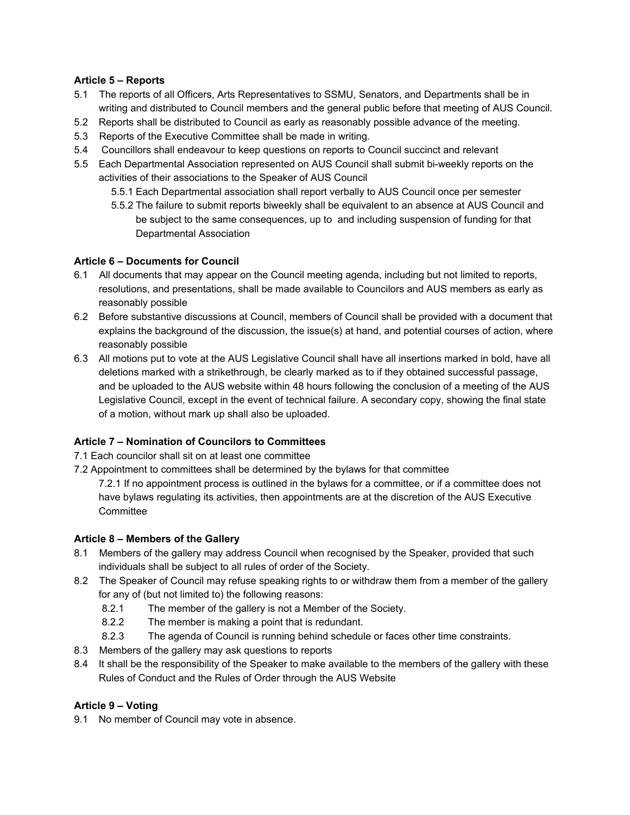### **Article 5 – Reports**

- 5.1 The reports of all Officers, Arts Representatives to SSMU, Senators, and Departments shall be in writing and distributed to Council members and the general public before that meeting of AUS Council.
- 5.2 Reports shall be distributed to Council as early as reasonably possible advance of the meeting.
- 5.3 Reports of the Executive Committee shall be made in writing.
- 5.4 Councillors shall endeavour to keep questions on reports to Council succinct and relevant
- 5.5 Each Departmental Association represented on AUS Council shall submit bi-weekly reports on the activities of their associations to the Speaker of AUS Council
	- 5.5.1 Each Departmental association shall report verbally to AUS Council once per semester
	- 5.5.2 The failure to submit reports biweekly shall be equivalent to an absence at AUS Council and be subject to the same consequences, up to and including suspension of funding for that Departmental Association

## **Article 6 – Documents for Council**

- 6.1 All documents that may appear on the Council meeting agenda, including but not limited to reports, resolutions, and presentations, shall be made available to Councilors and AUS members as early as reasonably possible
- 6.2 Before substantive discussions at Council, members of Council shall be provided with a document that explains the background of the discussion, the issue(s) at hand, and potential courses of action, where reasonably possible
- 6.3 All motions put to vote at the AUS Legislative Council shall have all insertions marked in bold, have all deletions marked with a strikethrough, be clearly marked as to if they obtained successful passage, and be uploaded to the AUS website within 48 hours following the conclusion of a meeting of the AUS Legislative Council, except in the event of technical failure. A secondary copy, showing the final state of a motion, without mark up shall also be uploaded.

# **Article 7 – Nomination of Councilors to Committees**

- 7.1 Each councilor shall sit on at least one committee
- 7.2 Appointment to committees shall be determined by the bylaws for that committee

7.2.1 If no appointment process is outlined in the bylaws for a committee, or if a committee does not have bylaws regulating its activities, then appointments are at the discretion of the AUS Executive **Committee** 

### **Article 8 – Members of the Gallery**

- 8.1 Members of the gallery may address Council when recognised by the Speaker, provided that such individuals shall be subject to all rules of order of the Society*.*
- 8.2 The Speaker of Council may refuse speaking rights to or withdraw them from a member of the gallery for any of (but not limited to) the following reasons:
	- 8.2.1 The member of the gallery is not a Member of the Society.
	- 8.2.2 The member is making a point that is redundant.
	- 8.2.3 The agenda of Council is running behind schedule or faces other time constraints.
- 8.3 Members of the gallery may ask questions to reports
- 8.4 It shall be the responsibility of the Speaker to make available to the members of the gallery with these Rules of Conduct and the Rules of Order through the AUS Website

# **Article 9 – Voting**

9.1 No member of Council may vote in absence.